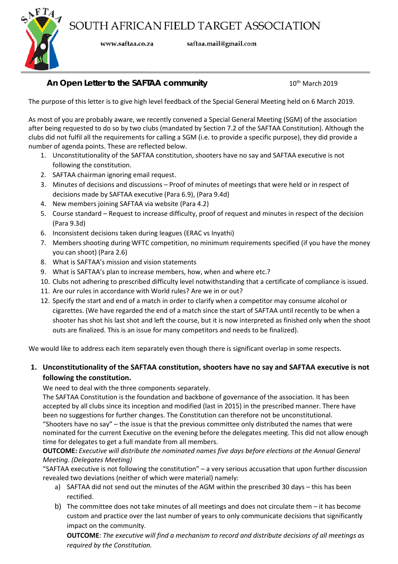

www.saftaa.co.za

saftaa.mail@gmail.com

# **An Open Letter to the SAFTAA community** 10<sup>th</sup> March 2019

The purpose of this letter is to give high level feedback of the Special General Meeting held on 6 March 2019.

As most of you are probably aware, we recently convened a Special General Meeting (SGM) of the association after being requested to do so by two clubs (mandated by Section 7.2 of the SAFTAA Constitution). Although the clubs did not fulfil all the requirements for calling a SGM (i.e. to provide a specific purpose), they did provide a number of agenda points. These are reflected below.

- 1. Unconstitutionality of the SAFTAA constitution, shooters have no say and SAFTAA executive is not following the constitution.
- 2. SAFTAA chairman ignoring email request.
- 3. Minutes of decisions and discussions Proof of minutes of meetings that were held or in respect of decisions made by SAFTAA executive (Para 6.9), (Para 9.4d)
- 4. New members joining SAFTAA via website (Para 4.2)
- 5. Course standard Request to increase difficulty, proof of request and minutes in respect of the decision (Para 9.3d)
- 6. Inconsistent decisions taken during leagues (ERAC vs Inyathi)
- 7. Members shooting during WFTC competition, no minimum requirements specified (if you have the money you can shoot) (Para 2.6)
- 8. What is SAFTAA's mission and vision statements
- 9. What is SAFTAA's plan to increase members, how, when and where etc.?
- 10. Clubs not adhering to prescribed difficulty level notwithstanding that a certificate of compliance is issued.
- 11. Are our rules in accordance with World rules? Are we in or out?
- 12. Specify the start and end of a match in order to clarify when a competitor may consume alcohol or cigarettes. (We have regarded the end of a match since the start of SAFTAA until recently to be when a shooter has shot his last shot and left the course, but it is now interpreted as finished only when the shoot outs are finalized. This is an issue for many competitors and needs to be finalized).

We would like to address each item separately even though there is significant overlap in some respects.

#### **1. Unconstitutionality of the SAFTAA constitution, shooters have no say and SAFTAA executive is not following the constitution.**

We need to deal with the three components separately.

The SAFTAA Constitution is the foundation and backbone of governance of the association. It has been accepted by all clubs since its inception and modified (last in 2015) in the prescribed manner. There have been no suggestions for further changes. The Constitution can therefore not be unconstitutional. "Shooters have no say" – the issue is that the previous committee only distributed the names that were nominated for the current Executive on the evening before the delegates meeting. This did not allow enough time for delegates to get a full mandate from all members.

**OUTCOME:** *Executive will distribute the nominated names five days before elections at the Annual General Meeting. (Delegates Meeting)*

"SAFTAA executive is not following the constitution" – a very serious accusation that upon further discussion revealed two deviations (neither of which were material) namely:

- a) SAFTAA did not send out the minutes of the AGM within the prescribed 30 days this has been rectified.
- b) The committee does not take minutes of all meetings and does not circulate them it has become custom and practice over the last number of years to only communicate decisions that significantly impact on the community.

**OUTCOME**: *The executive will find a mechanism to record and distribute decisions of all meetings as required by the Constitution.*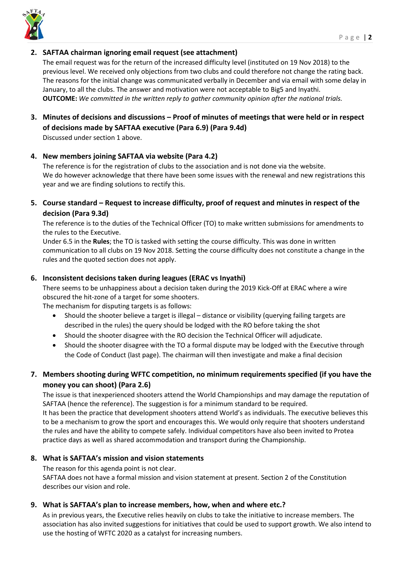

#### **2. SAFTAA chairman ignoring email request (see attachment)**

The email request was for the return of the increased difficulty level (instituted on 19 Nov 2018) to the previous level. We received only objections from two clubs and could therefore not change the rating back. The reasons for the initial change was communicated verbally in December and via email with some delay in January, to all the clubs. The answer and motivation were not acceptable to Big5 and Inyathi. **OUTCOME:** *We committed in the written reply to gather community opinion after the national trials.*

**3. Minutes of decisions and discussions – Proof of minutes of meetings that were held or in respect of decisions made by SAFTAA executive (Para 6.9) (Para 9.4d)**

Discussed under section 1 above.

#### **4. New members joining SAFTAA via website (Para 4.2)**

The reference is for the registration of clubs to the association and is not done via the website. We do however acknowledge that there have been some issues with the renewal and new registrations this year and we are finding solutions to rectify this.

### **5. Course standard – Request to increase difficulty, proof of request and minutes in respect of the decision (Para 9.3d)**

The reference is to the duties of the Technical Officer (TO) to make written submissions for amendments to the rules to the Executive.

Under 6.5 in the **Rules**; the TO is tasked with setting the course difficulty. This was done in written communication to all clubs on 19 Nov 2018. Setting the course difficulty does not constitute a change in the rules and the quoted section does not apply.

#### **6. Inconsistent decisions taken during leagues (ERAC vs Inyathi)**

There seems to be unhappiness about a decision taken during the 2019 Kick-Off at ERAC where a wire obscured the hit-zone of a target for some shooters.

The mechanism for disputing targets is as follows:

- Should the shooter believe a target is illegal distance or visibility (querying failing targets are described in the rules) the query should be lodged with the RO before taking the shot
- Should the shooter disagree with the RO decision the Technical Officer will adjudicate.
- Should the shooter disagree with the TO a formal dispute may be lodged with the Executive through the Code of Conduct (last page). The chairman will then investigate and make a final decision

## **7. Members shooting during WFTC competition, no minimum requirements specified (if you have the money you can shoot) (Para 2.6)**

The issue is that inexperienced shooters attend the World Championships and may damage the reputation of SAFTAA (hence the reference). The suggestion is for a minimum standard to be required. It has been the practice that development shooters attend World's as individuals. The executive believes this to be a mechanism to grow the sport and encourages this. We would only require that shooters understand the rules and have the ability to compete safely. Individual competitors have also been invited to Protea practice days as well as shared accommodation and transport during the Championship.

#### **8. What is SAFTAA's mission and vision statements**

The reason for this agenda point is not clear.

SAFTAA does not have a formal mission and vision statement at present. Section 2 of the Constitution describes our vision and role.

#### **9. What is SAFTAA's plan to increase members, how, when and where etc.?**

As in previous years, the Executive relies heavily on clubs to take the initiative to increase members. The association has also invited suggestions for initiatives that could be used to support growth. We also intend to use the hosting of WFTC 2020 as a catalyst for increasing numbers.